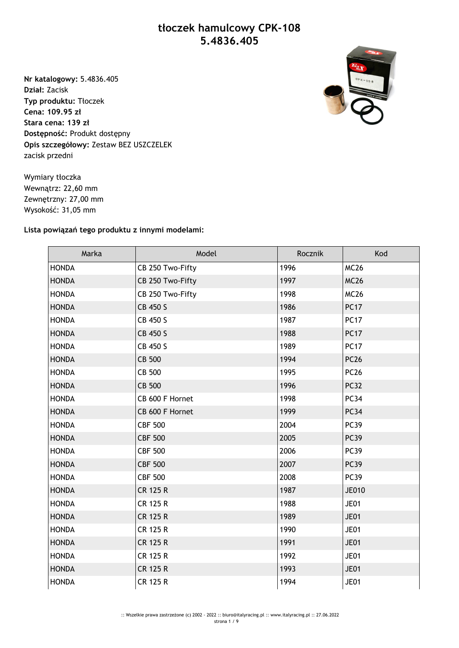## **tłoczek hamulcowy CPK-108 5.4836.405**

**Nr katalogowy:** 5.4836.405 **Dział:** Zacisk **Typ produktu:** Tłoczek **Cena: 109.95 zł Stara cena: 139 zł Dostępność:** Produkt dostępny **Opis szczegółowy:** Zestaw BEZ USZCZELEK zacisk przedni



Wymiary tłoczka Wewnątrz: 22,60 mm Zewnętrzny: 27,00 mm Wysokość: 31,05 mm

## **Lista powiązań tego produktu z innymi modelami:**

| Marka        | Model            | Rocznik | Kod          |
|--------------|------------------|---------|--------------|
| <b>HONDA</b> | CB 250 Two-Fifty | 1996    | <b>MC26</b>  |
| <b>HONDA</b> | CB 250 Two-Fifty | 1997    | <b>MC26</b>  |
| <b>HONDA</b> | CB 250 Two-Fifty | 1998    | <b>MC26</b>  |
| <b>HONDA</b> | CB 450 S         | 1986    | <b>PC17</b>  |
| <b>HONDA</b> | CB 450 S         | 1987    | <b>PC17</b>  |
| <b>HONDA</b> | CB 450 S         | 1988    | <b>PC17</b>  |
| <b>HONDA</b> | CB 450 S         | 1989    | <b>PC17</b>  |
| <b>HONDA</b> | CB 500           | 1994    | <b>PC26</b>  |
| <b>HONDA</b> | CB 500           | 1995    | <b>PC26</b>  |
| <b>HONDA</b> | <b>CB 500</b>    | 1996    | <b>PC32</b>  |
| <b>HONDA</b> | CB 600 F Hornet  | 1998    | <b>PC34</b>  |
| <b>HONDA</b> | CB 600 F Hornet  | 1999    | <b>PC34</b>  |
| <b>HONDA</b> | <b>CBF 500</b>   | 2004    | <b>PC39</b>  |
| <b>HONDA</b> | <b>CBF 500</b>   | 2005    | <b>PC39</b>  |
| <b>HONDA</b> | <b>CBF 500</b>   | 2006    | <b>PC39</b>  |
| <b>HONDA</b> | <b>CBF 500</b>   | 2007    | <b>PC39</b>  |
| <b>HONDA</b> | <b>CBF 500</b>   | 2008    | <b>PC39</b>  |
| <b>HONDA</b> | <b>CR 125 R</b>  | 1987    | <b>JE010</b> |
| <b>HONDA</b> | <b>CR 125 R</b>  | 1988    | <b>JE01</b>  |
| <b>HONDA</b> | <b>CR 125 R</b>  | 1989    | <b>JE01</b>  |
| <b>HONDA</b> | <b>CR 125 R</b>  | 1990    | <b>JE01</b>  |
| <b>HONDA</b> | <b>CR 125 R</b>  | 1991    | <b>JE01</b>  |
| <b>HONDA</b> | <b>CR 125 R</b>  | 1992    | <b>JE01</b>  |
| <b>HONDA</b> | <b>CR 125 R</b>  | 1993    | <b>JE01</b>  |
| <b>HONDA</b> | <b>CR 125 R</b>  | 1994    | <b>JE01</b>  |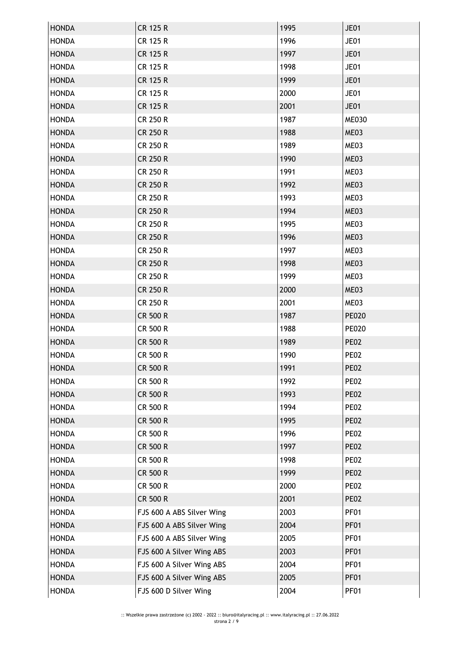| <b>HONDA</b> | <b>CR 125 R</b>           | 1995 | <b>JE01</b>  |
|--------------|---------------------------|------|--------------|
| <b>HONDA</b> | <b>CR 125 R</b>           | 1996 | <b>JE01</b>  |
| <b>HONDA</b> | <b>CR 125 R</b>           | 1997 | <b>JE01</b>  |
| <b>HONDA</b> | <b>CR 125 R</b>           | 1998 | <b>JE01</b>  |
| <b>HONDA</b> | <b>CR 125 R</b>           | 1999 | <b>JE01</b>  |
| <b>HONDA</b> | <b>CR 125 R</b>           | 2000 | <b>JE01</b>  |
| <b>HONDA</b> | <b>CR 125 R</b>           | 2001 | <b>JE01</b>  |
| <b>HONDA</b> | <b>CR 250 R</b>           | 1987 | <b>ME030</b> |
| <b>HONDA</b> | <b>CR 250 R</b>           | 1988 | ME03         |
| <b>HONDA</b> | CR 250 R                  | 1989 | ME03         |
| <b>HONDA</b> | <b>CR 250 R</b>           | 1990 | ME03         |
| <b>HONDA</b> | <b>CR 250 R</b>           | 1991 | ME03         |
| <b>HONDA</b> | <b>CR 250 R</b>           | 1992 | ME03         |
| <b>HONDA</b> | <b>CR 250 R</b>           | 1993 | ME03         |
| <b>HONDA</b> | <b>CR 250 R</b>           | 1994 | ME03         |
| <b>HONDA</b> | <b>CR 250 R</b>           | 1995 | ME03         |
| <b>HONDA</b> | <b>CR 250 R</b>           | 1996 | ME03         |
| <b>HONDA</b> | <b>CR 250 R</b>           | 1997 | ME03         |
| <b>HONDA</b> | <b>CR 250 R</b>           | 1998 | ME03         |
| <b>HONDA</b> | <b>CR 250 R</b>           | 1999 | ME03         |
| <b>HONDA</b> | <b>CR 250 R</b>           | 2000 | ME03         |
| <b>HONDA</b> | CR 250 R                  | 2001 | ME03         |
| <b>HONDA</b> | <b>CR 500 R</b>           | 1987 | <b>PE020</b> |
| <b>HONDA</b> | CR 500 R                  | 1988 | <b>PE020</b> |
| <b>HONDA</b> | <b>CR 500 R</b>           | 1989 | <b>PE02</b>  |
| <b>HONDA</b> | <b>CR 500 R</b>           | 1990 | <b>PE02</b>  |
| <b>HONDA</b> | <b>CR 500 R</b>           | 1991 | <b>PE02</b>  |
| <b>HONDA</b> | CR 500 R                  | 1992 | <b>PE02</b>  |
| <b>HONDA</b> | <b>CR 500 R</b>           | 1993 | <b>PE02</b>  |
| <b>HONDA</b> | <b>CR 500 R</b>           | 1994 | <b>PE02</b>  |
| <b>HONDA</b> | <b>CR 500 R</b>           | 1995 | <b>PE02</b>  |
| <b>HONDA</b> | <b>CR 500 R</b>           | 1996 | <b>PE02</b>  |
| <b>HONDA</b> | <b>CR 500 R</b>           | 1997 | <b>PE02</b>  |
| <b>HONDA</b> | <b>CR 500 R</b>           | 1998 | <b>PE02</b>  |
| <b>HONDA</b> | <b>CR 500 R</b>           | 1999 | <b>PE02</b>  |
| <b>HONDA</b> | <b>CR 500 R</b>           | 2000 | <b>PE02</b>  |
| <b>HONDA</b> | CR 500 R                  | 2001 | <b>PE02</b>  |
| <b>HONDA</b> | FJS 600 A ABS Silver Wing | 2003 | <b>PF01</b>  |
| <b>HONDA</b> | FJS 600 A ABS Silver Wing | 2004 | <b>PF01</b>  |
| <b>HONDA</b> | FJS 600 A ABS Silver Wing | 2005 | <b>PF01</b>  |
| <b>HONDA</b> | FJS 600 A Silver Wing ABS | 2003 | <b>PF01</b>  |
| <b>HONDA</b> | FJS 600 A Silver Wing ABS | 2004 | <b>PF01</b>  |
| <b>HONDA</b> | FJS 600 A Silver Wing ABS | 2005 | PF01         |
| <b>HONDA</b> | FJS 600 D Silver Wing     | 2004 | <b>PF01</b>  |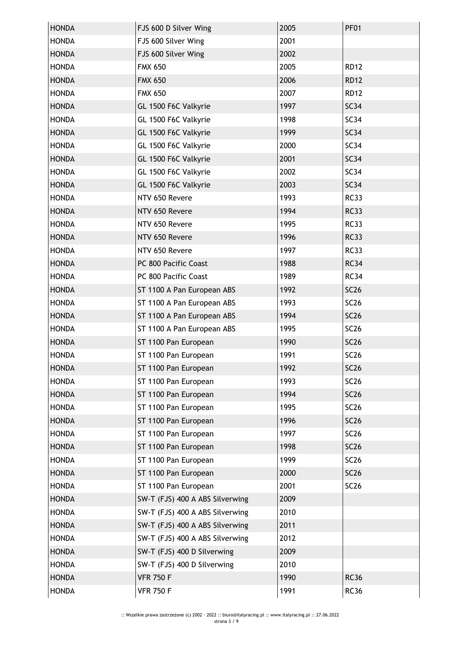| <b>HONDA</b> | FJS 600 D Silver Wing           | 2005 | <b>PF01</b> |
|--------------|---------------------------------|------|-------------|
| <b>HONDA</b> | FJS 600 Silver Wing             | 2001 |             |
| <b>HONDA</b> | FJS 600 Silver Wing             | 2002 |             |
| <b>HONDA</b> | <b>FMX 650</b>                  | 2005 | <b>RD12</b> |
| <b>HONDA</b> | <b>FMX 650</b>                  | 2006 | <b>RD12</b> |
| <b>HONDA</b> | <b>FMX 650</b>                  | 2007 | <b>RD12</b> |
| <b>HONDA</b> | GL 1500 F6C Valkyrie            | 1997 | <b>SC34</b> |
| <b>HONDA</b> | GL 1500 F6C Valkyrie            | 1998 | SC34        |
| <b>HONDA</b> | GL 1500 F6C Valkyrie            | 1999 | <b>SC34</b> |
| <b>HONDA</b> | GL 1500 F6C Valkyrie            | 2000 | SC34        |
| <b>HONDA</b> | GL 1500 F6C Valkyrie            | 2001 | SC34        |
| <b>HONDA</b> | GL 1500 F6C Valkyrie            | 2002 | SC34        |
| <b>HONDA</b> | GL 1500 F6C Valkyrie            | 2003 | SC34        |
| <b>HONDA</b> | NTV 650 Revere                  | 1993 | <b>RC33</b> |
| <b>HONDA</b> | NTV 650 Revere                  | 1994 | <b>RC33</b> |
| <b>HONDA</b> | NTV 650 Revere                  | 1995 | <b>RC33</b> |
| <b>HONDA</b> | NTV 650 Revere                  | 1996 | <b>RC33</b> |
| <b>HONDA</b> | NTV 650 Revere                  | 1997 | <b>RC33</b> |
| <b>HONDA</b> | PC 800 Pacific Coast            | 1988 | <b>RC34</b> |
| <b>HONDA</b> | PC 800 Pacific Coast            | 1989 | <b>RC34</b> |
| <b>HONDA</b> | ST 1100 A Pan European ABS      | 1992 | <b>SC26</b> |
| <b>HONDA</b> | ST 1100 A Pan European ABS      | 1993 | <b>SC26</b> |
| <b>HONDA</b> | ST 1100 A Pan European ABS      | 1994 | <b>SC26</b> |
| <b>HONDA</b> | ST 1100 A Pan European ABS      | 1995 | <b>SC26</b> |
| <b>HONDA</b> | ST 1100 Pan European            | 1990 | <b>SC26</b> |
| <b>HONDA</b> | ST 1100 Pan European            | 1991 | <b>SC26</b> |
| HONDA        | ST 1100 Pan European            | 1992 | <b>SC26</b> |
| <b>HONDA</b> | ST 1100 Pan European            | 1993 | <b>SC26</b> |
| <b>HONDA</b> | ST 1100 Pan European            | 1994 | <b>SC26</b> |
| <b>HONDA</b> | ST 1100 Pan European            | 1995 | <b>SC26</b> |
| <b>HONDA</b> | ST 1100 Pan European            | 1996 | <b>SC26</b> |
| <b>HONDA</b> | ST 1100 Pan European            | 1997 | <b>SC26</b> |
| <b>HONDA</b> | ST 1100 Pan European            | 1998 | <b>SC26</b> |
| <b>HONDA</b> | ST 1100 Pan European            | 1999 | <b>SC26</b> |
| <b>HONDA</b> | ST 1100 Pan European            | 2000 | <b>SC26</b> |
| <b>HONDA</b> | ST 1100 Pan European            | 2001 | <b>SC26</b> |
| <b>HONDA</b> | SW-T (FJS) 400 A ABS Silverwing | 2009 |             |
| <b>HONDA</b> | SW-T (FJS) 400 A ABS Silverwing | 2010 |             |
| <b>HONDA</b> | SW-T (FJS) 400 A ABS Silverwing | 2011 |             |
| <b>HONDA</b> | SW-T (FJS) 400 A ABS Silverwing | 2012 |             |
| <b>HONDA</b> | SW-T (FJS) 400 D Silverwing     | 2009 |             |
| <b>HONDA</b> | SW-T (FJS) 400 D Silverwing     | 2010 |             |
| <b>HONDA</b> | <b>VFR 750 F</b>                | 1990 | <b>RC36</b> |
| <b>HONDA</b> | <b>VFR 750 F</b>                | 1991 | <b>RC36</b> |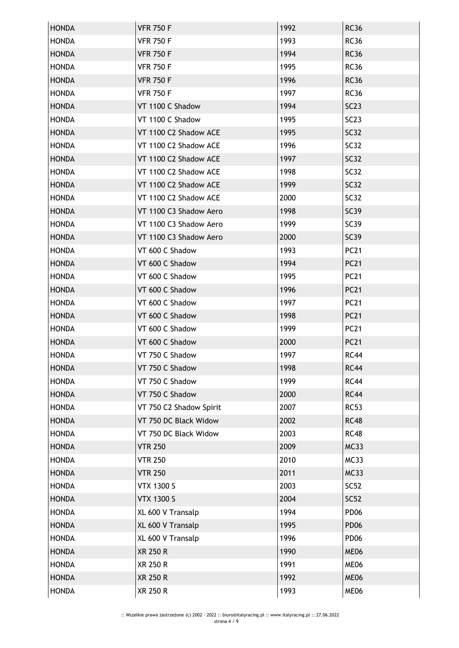| <b>HONDA</b> | <b>VFR 750 F</b>        | 1992 | <b>RC36</b>      |
|--------------|-------------------------|------|------------------|
| <b>HONDA</b> | <b>VFR 750 F</b>        | 1993 | <b>RC36</b>      |
| <b>HONDA</b> | <b>VFR 750 F</b>        | 1994 | <b>RC36</b>      |
| <b>HONDA</b> | <b>VFR 750 F</b>        | 1995 | <b>RC36</b>      |
| <b>HONDA</b> | <b>VFR 750 F</b>        | 1996 | <b>RC36</b>      |
| <b>HONDA</b> | <b>VFR 750 F</b>        | 1997 | <b>RC36</b>      |
| <b>HONDA</b> | VT 1100 C Shadow        | 1994 | SC23             |
| <b>HONDA</b> | VT 1100 C Shadow        | 1995 | SC23             |
| <b>HONDA</b> | VT 1100 C2 Shadow ACE   | 1995 | <b>SC32</b>      |
| <b>HONDA</b> | VT 1100 C2 Shadow ACE   | 1996 | SC32             |
| <b>HONDA</b> | VT 1100 C2 Shadow ACE   | 1997 | <b>SC32</b>      |
| <b>HONDA</b> | VT 1100 C2 Shadow ACE   | 1998 | SC32             |
| <b>HONDA</b> | VT 1100 C2 Shadow ACE   | 1999 | <b>SC32</b>      |
| <b>HONDA</b> | VT 1100 C2 Shadow ACE   | 2000 | <b>SC32</b>      |
| <b>HONDA</b> | VT 1100 C3 Shadow Aero  | 1998 | <b>SC39</b>      |
| <b>HONDA</b> | VT 1100 C3 Shadow Aero  | 1999 | <b>SC39</b>      |
| <b>HONDA</b> | VT 1100 C3 Shadow Aero  | 2000 | <b>SC39</b>      |
| <b>HONDA</b> | VT 600 C Shadow         | 1993 | <b>PC21</b>      |
| <b>HONDA</b> | VT 600 C Shadow         | 1994 | <b>PC21</b>      |
| <b>HONDA</b> | VT 600 C Shadow         | 1995 | <b>PC21</b>      |
| <b>HONDA</b> | VT 600 C Shadow         | 1996 | <b>PC21</b>      |
| <b>HONDA</b> | VT 600 C Shadow         | 1997 | <b>PC21</b>      |
| <b>HONDA</b> | VT 600 C Shadow         | 1998 | <b>PC21</b>      |
| <b>HONDA</b> | VT 600 C Shadow         | 1999 | <b>PC21</b>      |
| <b>HONDA</b> | VT 600 C Shadow         | 2000 | <b>PC21</b>      |
| <b>HONDA</b> | VT 750 C Shadow         | 1997 | <b>RC44</b>      |
| <b>HONDA</b> | VT 750 C Shadow         | 1998 | <b>RC44</b>      |
| <b>HONDA</b> | VT 750 C Shadow         | 1999 | <b>RC44</b>      |
| <b>HONDA</b> | VT 750 C Shadow         | 2000 | <b>RC44</b>      |
| <b>HONDA</b> | VT 750 C2 Shadow Spirit | 2007 | <b>RC53</b>      |
| <b>HONDA</b> | VT 750 DC Black Widow   | 2002 | <b>RC48</b>      |
| <b>HONDA</b> | VT 750 DC Black Widow   | 2003 | <b>RC48</b>      |
| <b>HONDA</b> | <b>VTR 250</b>          | 2009 | <b>MC33</b>      |
| <b>HONDA</b> | <b>VTR 250</b>          | 2010 | <b>MC33</b>      |
| <b>HONDA</b> | <b>VTR 250</b>          | 2011 | <b>MC33</b>      |
| <b>HONDA</b> | <b>VTX 1300 S</b>       | 2003 | <b>SC52</b>      |
| <b>HONDA</b> | <b>VTX 1300 S</b>       | 2004 | SC52             |
| <b>HONDA</b> | XL 600 V Transalp       | 1994 | PD <sub>06</sub> |
| <b>HONDA</b> | XL 600 V Transalp       | 1995 | <b>PD06</b>      |
| <b>HONDA</b> | XL 600 V Transalp       | 1996 | PD <sub>06</sub> |
| <b>HONDA</b> | XR 250 R                | 1990 | ME06             |
| <b>HONDA</b> | XR 250 R                | 1991 | <b>ME06</b>      |
| <b>HONDA</b> | XR 250 R                | 1992 | ME06             |
| <b>HONDA</b> | XR 250 R                | 1993 | ME06             |
|              |                         |      |                  |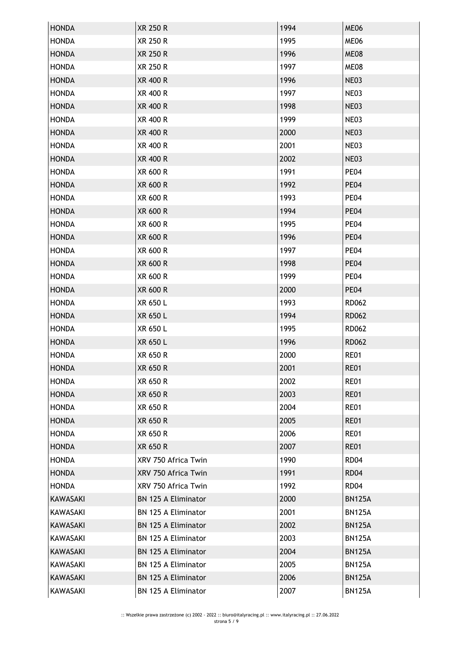| <b>HONDA</b>    | <b>XR 250 R</b>            | 1994 | ME06          |
|-----------------|----------------------------|------|---------------|
| <b>HONDA</b>    | <b>XR 250 R</b>            | 1995 | ME06          |
| <b>HONDA</b>    | <b>XR 250 R</b>            | 1996 | ME08          |
| <b>HONDA</b>    | XR 250 R                   | 1997 | ME08          |
| <b>HONDA</b>    | XR 400 R                   | 1996 | NE03          |
| <b>HONDA</b>    | XR 400 R                   | 1997 | <b>NE03</b>   |
| <b>HONDA</b>    | XR 400 R                   | 1998 | NE03          |
| <b>HONDA</b>    | XR 400 R                   | 1999 | NE03          |
| <b>HONDA</b>    | <b>XR 400 R</b>            | 2000 | NE03          |
| <b>HONDA</b>    | XR 400 R                   | 2001 | NE03          |
| <b>HONDA</b>    | <b>XR 400 R</b>            | 2002 | NE03          |
| <b>HONDA</b>    | XR 600 R                   | 1991 | <b>PE04</b>   |
| <b>HONDA</b>    | XR 600 R                   | 1992 | <b>PE04</b>   |
| <b>HONDA</b>    | XR 600 R                   | 1993 | <b>PE04</b>   |
| <b>HONDA</b>    | <b>XR 600 R</b>            | 1994 | <b>PE04</b>   |
| <b>HONDA</b>    | XR 600 R                   | 1995 | <b>PE04</b>   |
| <b>HONDA</b>    | XR 600 R                   | 1996 | <b>PE04</b>   |
| <b>HONDA</b>    | XR 600 R                   | 1997 | <b>PE04</b>   |
| <b>HONDA</b>    | <b>XR 600 R</b>            | 1998 | <b>PE04</b>   |
| <b>HONDA</b>    | XR 600 R                   | 1999 | <b>PE04</b>   |
| <b>HONDA</b>    | <b>XR 600 R</b>            | 2000 | <b>PE04</b>   |
| <b>HONDA</b>    | XR 650 L                   | 1993 | RD062         |
| <b>HONDA</b>    | XR 650 L                   | 1994 | <b>RD062</b>  |
| <b>HONDA</b>    | XR 650 L                   | 1995 | RD062         |
| <b>HONDA</b>    | XR 650 L                   | 1996 | <b>RD062</b>  |
| <b>HONDA</b>    | XR 650 R                   | 2000 | <b>RE01</b>   |
| <b>HONDA</b>    | <b>XR 650 R</b>            | 2001 | <b>RE01</b>   |
| <b>HONDA</b>    | XR 650 R                   | 2002 | <b>RE01</b>   |
| <b>HONDA</b>    | <b>XR 650 R</b>            | 2003 | <b>RE01</b>   |
| <b>HONDA</b>    | XR 650 R                   | 2004 | <b>RE01</b>   |
| <b>HONDA</b>    | XR 650 R                   | 2005 | <b>RE01</b>   |
| <b>HONDA</b>    | XR 650 R                   | 2006 | <b>RE01</b>   |
| <b>HONDA</b>    | XR 650 R                   | 2007 | <b>RE01</b>   |
| <b>HONDA</b>    | XRV 750 Africa Twin        | 1990 | <b>RD04</b>   |
| <b>HONDA</b>    | XRV 750 Africa Twin        | 1991 | <b>RD04</b>   |
| <b>HONDA</b>    | XRV 750 Africa Twin        | 1992 | <b>RD04</b>   |
| <b>KAWASAKI</b> | <b>BN 125 A Eliminator</b> | 2000 | <b>BN125A</b> |
| KAWASAKI        | BN 125 A Eliminator        | 2001 | <b>BN125A</b> |
| KAWASAKI        | <b>BN 125 A Eliminator</b> | 2002 | <b>BN125A</b> |
| KAWASAKI        | BN 125 A Eliminator        | 2003 | <b>BN125A</b> |
| KAWASAKI        | <b>BN 125 A Eliminator</b> | 2004 | <b>BN125A</b> |
| KAWASAKI        | <b>BN 125 A Eliminator</b> | 2005 | <b>BN125A</b> |
| <b>KAWASAKI</b> | BN 125 A Eliminator        | 2006 | <b>BN125A</b> |
| KAWASAKI        | BN 125 A Eliminator        | 2007 | <b>BN125A</b> |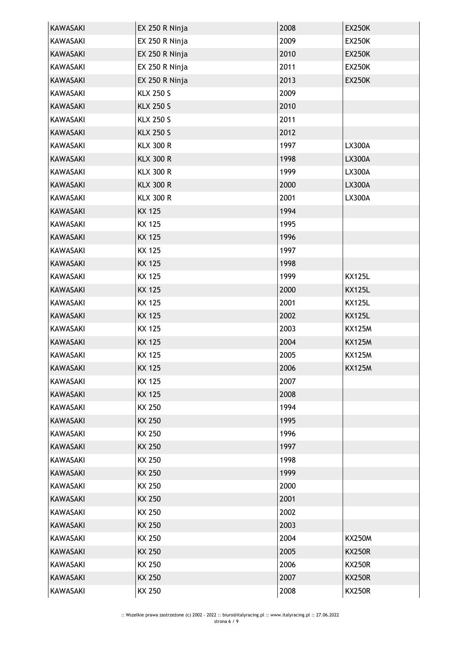| <b>KAWASAKI</b> | EX 250 R Ninja   | 2008 | <b>EX250K</b> |
|-----------------|------------------|------|---------------|
| <b>KAWASAKI</b> | EX 250 R Ninja   | 2009 | <b>EX250K</b> |
| <b>KAWASAKI</b> | EX 250 R Ninja   | 2010 | <b>EX250K</b> |
| KAWASAKI        | EX 250 R Ninja   | 2011 | <b>EX250K</b> |
| <b>KAWASAKI</b> | EX 250 R Ninja   | 2013 | <b>EX250K</b> |
| KAWASAKI        | <b>KLX 250 S</b> | 2009 |               |
| <b>KAWASAKI</b> | <b>KLX 250 S</b> | 2010 |               |
| KAWASAKI        | <b>KLX 250 S</b> | 2011 |               |
| <b>KAWASAKI</b> | <b>KLX 250 S</b> | 2012 |               |
| <b>KAWASAKI</b> | <b>KLX 300 R</b> | 1997 | LX300A        |
| <b>KAWASAKI</b> | <b>KLX 300 R</b> | 1998 | <b>LX300A</b> |
| <b>KAWASAKI</b> | <b>KLX 300 R</b> | 1999 | LX300A        |
| <b>KAWASAKI</b> | <b>KLX 300 R</b> | 2000 | <b>LX300A</b> |
| <b>KAWASAKI</b> | <b>KLX 300 R</b> | 2001 | <b>LX300A</b> |
| <b>KAWASAKI</b> | <b>KX 125</b>    | 1994 |               |
| <b>KAWASAKI</b> | <b>KX 125</b>    | 1995 |               |
| <b>KAWASAKI</b> | <b>KX 125</b>    | 1996 |               |
| <b>KAWASAKI</b> | KX 125           | 1997 |               |
| <b>KAWASAKI</b> | <b>KX 125</b>    | 1998 |               |
| KAWASAKI        | <b>KX 125</b>    | 1999 | <b>KX125L</b> |
| <b>KAWASAKI</b> | <b>KX 125</b>    | 2000 | <b>KX125L</b> |
| <b>KAWASAKI</b> | KX 125           | 2001 | <b>KX125L</b> |
| <b>KAWASAKI</b> | <b>KX 125</b>    | 2002 | <b>KX125L</b> |
| KAWASAKI        | KX 125           | 2003 | <b>KX125M</b> |
| KAWASAKI        | <b>KX 125</b>    | 2004 | <b>KX125M</b> |
| <b>KAWASAKI</b> | <b>KX 125</b>    | 2005 | <b>KX125M</b> |
| KAWASAKI        | <b>KX 125</b>    | 2006 | <b>KX125M</b> |
| KAWASAKI        | <b>KX 125</b>    | 2007 |               |
| <b>KAWASAKI</b> | <b>KX 125</b>    | 2008 |               |
| KAWASAKI        | KX 250           | 1994 |               |
| KAWASAKI        | KX 250           | 1995 |               |
| KAWASAKI        | KX 250           | 1996 |               |
| <b>KAWASAKI</b> | KX 250           | 1997 |               |
| KAWASAKI        | KX 250           | 1998 |               |
| <b>KAWASAKI</b> | KX 250           | 1999 |               |
| KAWASAKI        | KX 250           | 2000 |               |
| <b>KAWASAKI</b> | KX 250           | 2001 |               |
| KAWASAKI        | KX 250           | 2002 |               |
| <b>KAWASAKI</b> | KX 250           | 2003 |               |
| KAWASAKI        | KX 250           | 2004 | <b>KX250M</b> |
| <b>KAWASAKI</b> | <b>KX 250</b>    | 2005 | <b>KX250R</b> |
| <b>KAWASAKI</b> | KX 250           | 2006 | <b>KX250R</b> |
| <b>KAWASAKI</b> | KX 250           | 2007 | <b>KX250R</b> |
| KAWASAKI        | KX 250           | 2008 | <b>KX250R</b> |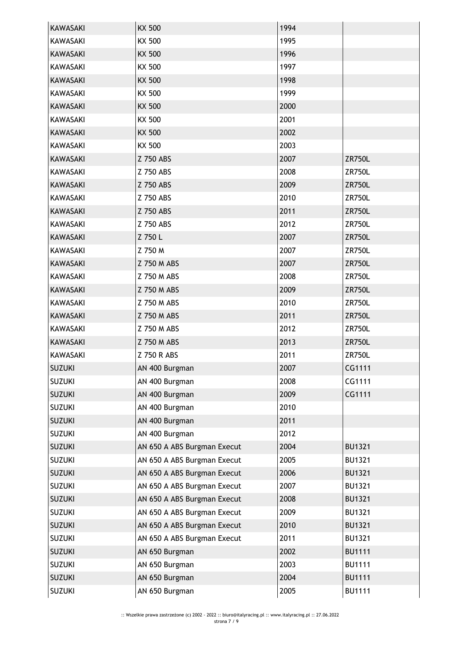| <b>KAWASAKI</b> | <b>KX 500</b>               | 1994 |               |
|-----------------|-----------------------------|------|---------------|
| <b>KAWASAKI</b> | KX 500                      | 1995 |               |
| <b>KAWASAKI</b> | <b>KX 500</b>               | 1996 |               |
| <b>KAWASAKI</b> | KX 500                      | 1997 |               |
| <b>KAWASAKI</b> | <b>KX 500</b>               | 1998 |               |
| <b>KAWASAKI</b> | KX 500                      | 1999 |               |
| <b>KAWASAKI</b> | <b>KX 500</b>               | 2000 |               |
| KAWASAKI        | KX 500                      | 2001 |               |
| <b>KAWASAKI</b> | <b>KX 500</b>               | 2002 |               |
| KAWASAKI        | KX 500                      | 2003 |               |
| <b>KAWASAKI</b> | Z 750 ABS                   | 2007 | <b>ZR750L</b> |
| <b>KAWASAKI</b> | Z 750 ABS                   | 2008 | <b>ZR750L</b> |
| <b>KAWASAKI</b> | Z 750 ABS                   | 2009 | <b>ZR750L</b> |
| <b>KAWASAKI</b> | Z 750 ABS                   | 2010 | <b>ZR750L</b> |
| <b>KAWASAKI</b> | Z 750 ABS                   | 2011 | <b>ZR750L</b> |
| <b>KAWASAKI</b> | Z 750 ABS                   | 2012 | ZR750L        |
| <b>KAWASAKI</b> | Z 750 L                     | 2007 | <b>ZR750L</b> |
| <b>KAWASAKI</b> | Z 750 M                     | 2007 | ZR750L        |
| <b>KAWASAKI</b> | Z 750 M ABS                 | 2007 | <b>ZR750L</b> |
| KAWASAKI        | Z 750 M ABS                 | 2008 | ZR750L        |
| <b>KAWASAKI</b> | Z 750 M ABS                 | 2009 | <b>ZR750L</b> |
| KAWASAKI        | Z 750 M ABS                 | 2010 | <b>ZR750L</b> |
| <b>KAWASAKI</b> | Z 750 M ABS                 | 2011 | <b>ZR750L</b> |
| <b>KAWASAKI</b> | Z 750 M ABS                 | 2012 | ZR750L        |
| <b>KAWASAKI</b> | Z 750 M ABS                 | 2013 | <b>ZR750L</b> |
| <b>KAWASAKI</b> | Z 750 R ABS                 | 2011 | ZR750L        |
| <b>SUZUKI</b>   | AN 400 Burgman              | 2007 | CG1111        |
| <b>SUZUKI</b>   | AN 400 Burgman              | 2008 | CG1111        |
| <b>SUZUKI</b>   | AN 400 Burgman              | 2009 | CG1111        |
| <b>SUZUKI</b>   | AN 400 Burgman              | 2010 |               |
| <b>SUZUKI</b>   | AN 400 Burgman              | 2011 |               |
| <b>SUZUKI</b>   | AN 400 Burgman              | 2012 |               |
| <b>SUZUKI</b>   | AN 650 A ABS Burgman Execut | 2004 | <b>BU1321</b> |
| <b>SUZUKI</b>   | AN 650 A ABS Burgman Execut | 2005 | <b>BU1321</b> |
| <b>SUZUKI</b>   | AN 650 A ABS Burgman Execut | 2006 | <b>BU1321</b> |
| <b>SUZUKI</b>   | AN 650 A ABS Burgman Execut | 2007 | <b>BU1321</b> |
| <b>SUZUKI</b>   | AN 650 A ABS Burgman Execut | 2008 | <b>BU1321</b> |
| <b>SUZUKI</b>   | AN 650 A ABS Burgman Execut | 2009 | <b>BU1321</b> |
| <b>SUZUKI</b>   | AN 650 A ABS Burgman Execut | 2010 | <b>BU1321</b> |
| <b>SUZUKI</b>   | AN 650 A ABS Burgman Execut | 2011 | <b>BU1321</b> |
| <b>SUZUKI</b>   | AN 650 Burgman              | 2002 | <b>BU1111</b> |
| <b>SUZUKI</b>   | AN 650 Burgman              | 2003 | <b>BU1111</b> |
| <b>SUZUKI</b>   | AN 650 Burgman              | 2004 | <b>BU1111</b> |
| <b>SUZUKI</b>   | AN 650 Burgman              | 2005 | <b>BU1111</b> |
|                 |                             |      |               |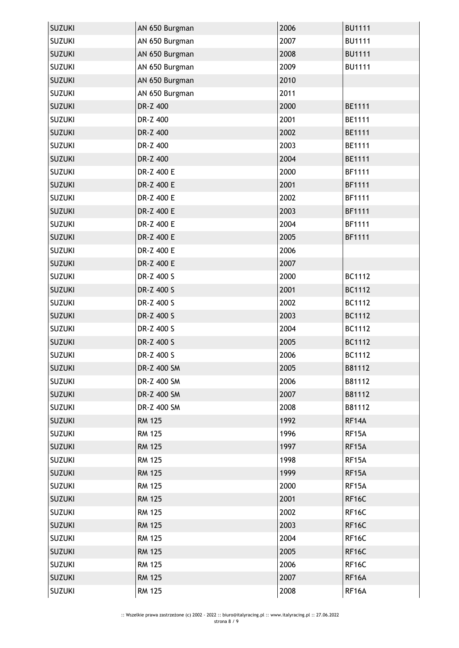| <b>SUZUKI</b> | AN 650 Burgman | 2006 | <b>BU1111</b> |
|---------------|----------------|------|---------------|
| <b>SUZUKI</b> | AN 650 Burgman | 2007 | <b>BU1111</b> |
| <b>SUZUKI</b> | AN 650 Burgman | 2008 | <b>BU1111</b> |
| <b>SUZUKI</b> | AN 650 Burgman | 2009 | <b>BU1111</b> |
| <b>SUZUKI</b> | AN 650 Burgman | 2010 |               |
| <b>SUZUKI</b> | AN 650 Burgman | 2011 |               |
| <b>SUZUKI</b> | DR-Z 400       | 2000 | <b>BE1111</b> |
| <b>SUZUKI</b> | DR-Z 400       | 2001 | <b>BE1111</b> |
| <b>SUZUKI</b> | DR-Z 400       | 2002 | <b>BE1111</b> |
| <b>SUZUKI</b> | DR-Z 400       | 2003 | <b>BE1111</b> |
| <b>SUZUKI</b> | DR-Z 400       | 2004 | <b>BE1111</b> |
| <b>SUZUKI</b> | DR-Z 400 E     | 2000 | <b>BF1111</b> |
| <b>SUZUKI</b> | DR-Z 400 E     | 2001 | <b>BF1111</b> |
| <b>SUZUKI</b> | DR-Z 400 E     | 2002 | <b>BF1111</b> |
| <b>SUZUKI</b> | DR-Z 400 E     | 2003 | <b>BF1111</b> |
| <b>SUZUKI</b> | DR-Z 400 E     | 2004 | <b>BF1111</b> |
| <b>SUZUKI</b> | DR-Z 400 E     | 2005 | <b>BF1111</b> |
| <b>SUZUKI</b> | DR-Z 400 E     | 2006 |               |
| <b>SUZUKI</b> | DR-Z 400 E     | 2007 |               |
| <b>SUZUKI</b> | DR-Z 400 S     | 2000 | BC1112        |
| <b>SUZUKI</b> | DR-Z 400 S     | 2001 | BC1112        |
| <b>SUZUKI</b> | DR-Z 400 S     | 2002 | BC1112        |
| <b>SUZUKI</b> | DR-Z 400 S     | 2003 | BC1112        |
| <b>SUZUKI</b> | DR-Z 400 S     | 2004 | BC1112        |
| <b>SUZUKI</b> | DR-Z 400 S     | 2005 | BC1112        |
| <b>SUZUKI</b> | DR-Z 400 S     | 2006 | BC1112        |
| <b>SUZUKI</b> | DR-Z 400 SM    | 2005 | B81112        |
| <b>SUZUKI</b> | DR-Z 400 SM    | 2006 | B81112        |
| <b>SUZUKI</b> | DR-Z 400 SM    | 2007 | B81112        |
| <b>SUZUKI</b> | DR-Z 400 SM    | 2008 | B81112        |
| <b>SUZUKI</b> | <b>RM 125</b>  | 1992 | RF14A         |
| <b>SUZUKI</b> | <b>RM 125</b>  | 1996 | RF15A         |
| <b>SUZUKI</b> | <b>RM 125</b>  | 1997 | RF15A         |
| <b>SUZUKI</b> | <b>RM 125</b>  | 1998 | RF15A         |
| <b>SUZUKI</b> | <b>RM 125</b>  | 1999 | RF15A         |
| <b>SUZUKI</b> | <b>RM 125</b>  | 2000 | RF15A         |
| <b>SUZUKI</b> | <b>RM 125</b>  | 2001 | RF16C         |
| <b>SUZUKI</b> | <b>RM 125</b>  | 2002 | RF16C         |
| <b>SUZUKI</b> | <b>RM 125</b>  | 2003 | RF16C         |
| <b>SUZUKI</b> | <b>RM 125</b>  | 2004 | RF16C         |
| <b>SUZUKI</b> | <b>RM 125</b>  | 2005 | RF16C         |
| <b>SUZUKI</b> | <b>RM 125</b>  | 2006 | RF16C         |
| <b>SUZUKI</b> | <b>RM 125</b>  | 2007 | RF16A         |
| <b>SUZUKI</b> | <b>RM 125</b>  | 2008 | RF16A         |